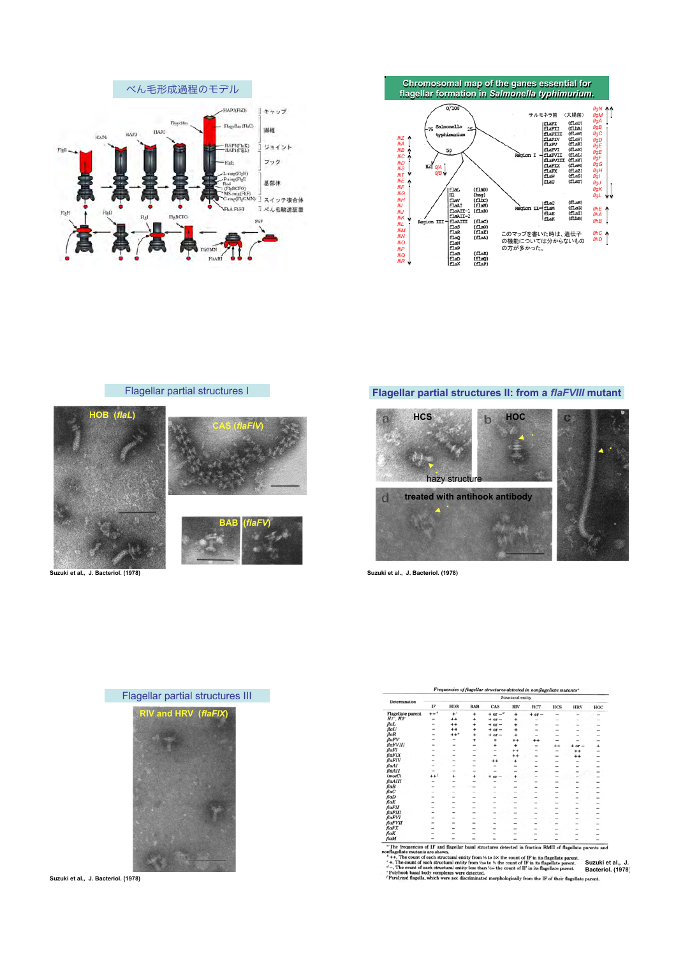







**Flagellar partial structures II: from a** *flaFVIII* **mutant** 



**Suzuki et al., J. Bacteriol. (1978)** 



**Suzuki et al., J. Bacteriol. (1978)** 

| Determination                         | Structural entity        |                          |                          |                          |                          |                          |                          |                |        |  |
|---------------------------------------|--------------------------|--------------------------|--------------------------|--------------------------|--------------------------|--------------------------|--------------------------|----------------|--------|--|
|                                       | IF                       | HOB                      | <b>BAB</b>               | CAS                      | RIV                      | RCT                      | HCS                      | <b>HRV</b>     | HOC    |  |
| <b>Flagellate</b> parent              | $++$                     | $+$ <sup>e</sup>         | ÷                        | $+$ or $-$ <sup>d</sup>  | ÷                        | $+$ or $-$               |                          |                |        |  |
| $H1$ <sup>-</sup> , $H2$ <sup>-</sup> |                          | $^{++}$                  | $\ddot{}$                | $+$ or $-$               | ۰                        |                          | -                        | -              | $\sim$ |  |
| flal.                                 | ۰                        | $^{++}$                  | $\ddot{}$                | $+$ or $-$               | ÷                        |                          |                          | -              | -      |  |
| flaU                                  | $\overline{\phantom{a}}$ | ++                       | ÷                        | $+$ or $-$               | ٠                        |                          | $\overline{\phantom{a}}$ | -              | -      |  |
| flaR                                  | -                        | $++$                     | ÷                        | $+$ or $-$               | ÷                        |                          |                          |                |        |  |
| flaFV                                 |                          |                          | ÷                        | ۰                        | ++                       | $^{\tiny{++}}$           |                          |                |        |  |
| flaFVIII                              | ÷                        |                          | $\sim$                   | ÷                        | ÷                        | $\sim$                   | $^{++}$                  | $or -$         | ÷      |  |
| flaFI                                 |                          |                          | -                        | $\sim$                   | $^{++}$                  |                          |                          | **             | -      |  |
| flaFIX                                | -                        | $\overline{\phantom{a}}$ | ۰                        | -                        | $^{++}$                  | -                        |                          | $^{\tiny{++}}$ |        |  |
| flaFIV                                | -                        | $\sim$                   | $\sim$                   | ++                       | ÷                        |                          |                          | ۰              |        |  |
| flaAI                                 | $\overline{\phantom{a}}$ | -                        | -                        | -                        | $\overline{\phantom{a}}$ | $\overline{\phantom{a}}$ |                          |                |        |  |
| flaAII                                | -                        | -                        | $\overline{\phantom{a}}$ | $\overline{\phantom{a}}$ | $\overline{\phantom{a}}$ |                          |                          | -              |        |  |
| (motC)                                | $***$                    | ÷                        | ٠                        | $or -$                   | ۰                        |                          |                          |                | -      |  |
| flaAIII                               | ۰                        |                          | ۰                        | $\sim$                   | $\overline{\phantom{a}}$ |                          |                          | -              |        |  |
| flaB                                  |                          | -                        |                          |                          |                          |                          |                          |                |        |  |
| fac                                   |                          | -                        | -                        | $\overline{\phantom{a}}$ |                          |                          |                          |                |        |  |
| flaD                                  |                          |                          |                          |                          |                          |                          |                          |                |        |  |
| $_{\text{flat}}$                      |                          | -                        | -                        |                          |                          |                          |                          |                |        |  |
| flaFII                                |                          |                          | -                        | -                        |                          |                          |                          |                |        |  |
| flaFIII                               |                          | -                        | -                        | $\overline{\phantom{a}}$ |                          |                          |                          |                |        |  |
| flaFVI                                |                          |                          | -                        |                          |                          |                          |                          |                |        |  |
| flaFVII                               |                          |                          |                          |                          |                          |                          |                          |                |        |  |
| flaFX                                 |                          |                          |                          | -                        |                          |                          |                          |                |        |  |
| flaK                                  |                          |                          |                          |                          |                          |                          |                          |                |        |  |
| flaM                                  |                          |                          |                          |                          |                          |                          |                          | ۰              |        |  |
|                                       |                          |                          |                          |                          |                          |                          |                          |                |        |  |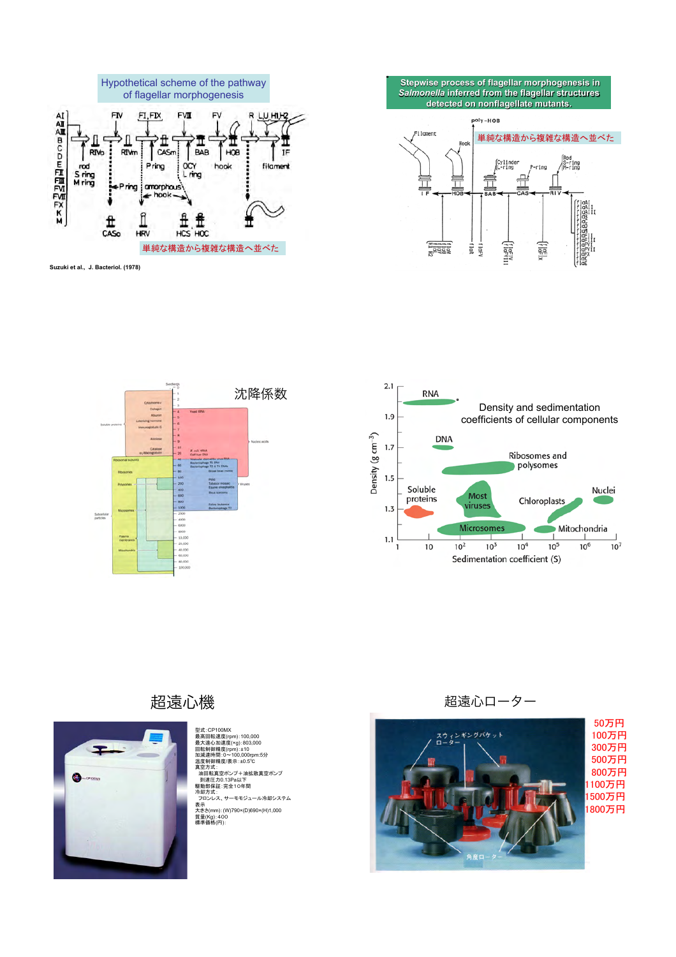

**Suzuki et al., J. Bacteriol. (1978)** 







## 超遠心機



型式: CP100MX<br>型式: CP100MX<br>最大遠心加速度(rpm):±10<br>回転通期精度(rpm):±10<br>回転通期精度/表示:±0.5℃<br>温度制御精度/表示:±0.5℃<br>駆動部保証:完全10年間<br>駆動部保証:完全10年間<br>発動力式: フロンレス、サーモモジュール冷却システム 表示 大きさ(mm):(W)790×(D)690×(H)1,000<br>質量(Kg): 400<br>標準価格(円):

## 超遠心ローター